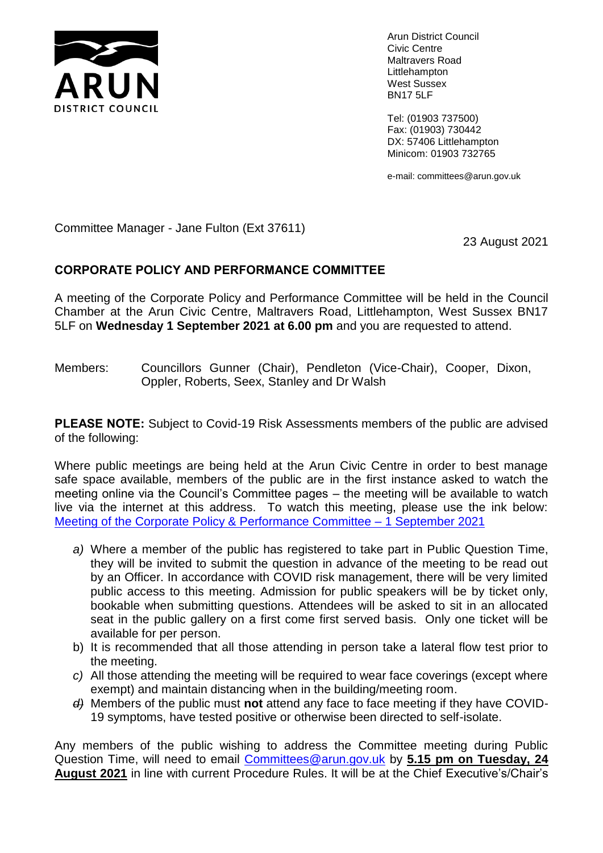

Arun District Council Civic Centre Maltravers Road Littlehampton West Sussex BN17 5LF

Tel: (01903 737500) Fax: (01903) 730442 DX: 57406 Littlehampton Minicom: 01903 732765

e-mail: committees@arun.gov.uk

Committee Manager - Jane Fulton (Ext 37611)

23 August 2021

## **CORPORATE POLICY AND PERFORMANCE COMMITTEE**

A meeting of the Corporate Policy and Performance Committee will be held in the Council Chamber at the Arun Civic Centre, Maltravers Road, Littlehampton, West Sussex BN17 5LF on **Wednesday 1 September 2021 at 6.00 pm** and you are requested to attend.

Members: Councillors Gunner (Chair), Pendleton (Vice-Chair), Cooper, Dixon, Oppler, Roberts, Seex, Stanley and Dr Walsh

**PLEASE NOTE:** Subject to Covid-19 Risk Assessments members of the public are advised of the following:

Where public meetings are being held at the Arun Civic Centre in order to best manage safe space available, members of the public are in the first instance asked to watch the meeting online via the Council's Committee pages – the meeting will be available to watch live via the internet at this address. To watch this meeting, please use the ink below: [Meeting of the Corporate Policy & Performance Committee –](https://aisapps.sonicfoundry.com/AuditelScheduler/Player/Index/?id=191bf070-144f-4a0a-bdc0-bbe418402b42&presID=1c3ec9fdf5c94d32ba7805b6c0bc44391d) 1 September 2021

- *a)* Where a member of the public has registered to take part in Public Question Time, they will be invited to submit the question in advance of the meeting to be read out by an Officer. In accordance with COVID risk management, there will be very limited public access to this meeting. Admission for public speakers will be by ticket only, bookable when submitting questions. Attendees will be asked to sit in an allocated seat in the public gallery on a first come first served basis. Only one ticket will be available for per person.
- b) It is recommended that all those attending in person take a lateral flow test prior to the meeting.
- *c)* All those attending the meeting will be required to wear face coverings (except where exempt) and maintain distancing when in the building/meeting room.
- *d)* Members of the public must **not** attend any face to face meeting if they have COVID-19 symptoms, have tested positive or otherwise been directed to self-isolate.

Any members of the public wishing to address the Committee meeting during Public Question Time, will need to email [Committees@arun.gov.uk](mailto:Committees@arun.gov.uk) by **5.15 pm on Tuesday, 24 August 2021** in line with current Procedure Rules. It will be at the Chief Executive's/Chair's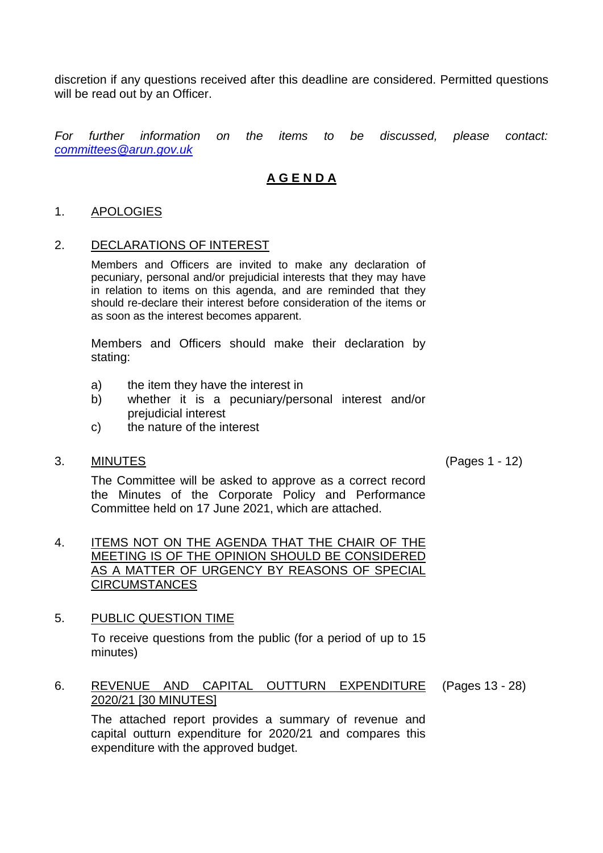discretion if any questions received after this deadline are considered. Permitted questions will be read out by an Officer.

*For further information on the items to be discussed, please contact: [committees@arun.gov.uk](mailto:committees@arun.gov.uk)*

# **A G E N D A**

#### 1. APOLOGIES

#### 2. DECLARATIONS OF INTEREST

Members and Officers are invited to make any declaration of pecuniary, personal and/or prejudicial interests that they may have in relation to items on this agenda, and are reminded that they should re-declare their interest before consideration of the items or as soon as the interest becomes apparent.

Members and Officers should make their declaration by stating:

- a) the item they have the interest in
- b) whether it is a pecuniary/personal interest and/or prejudicial interest
- c) the nature of the interest
- 3. MINUTES (Pages 1 12)

The Committee will be asked to approve as a correct record the Minutes of the Corporate Policy and Performance Committee held on 17 June 2021, which are attached.

### 4. ITEMS NOT ON THE AGENDA THAT THE CHAIR OF THE MEETING IS OF THE OPINION SHOULD BE CONSIDERED AS A MATTER OF URGENCY BY REASONS OF SPECIAL CIRCUMSTANCES

## 5. PUBLIC QUESTION TIME

To receive questions from the public (for a period of up to 15 minutes)

#### 6. REVENUE AND CAPITAL OUTTURN EXPENDITURE 2020/21 [30 MINUTES] (Pages 13 - 28)

The attached report provides a summary of revenue and capital outturn expenditure for 2020/21 and compares this expenditure with the approved budget.